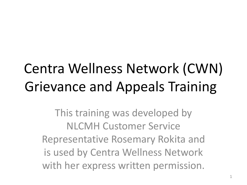# Centra Wellness Network (CWN) Grievance and Appeals Training

This training was developed by NLCMH Customer Service Representative Rosemary Rokita and is used by Centra Wellness Network with her express written permission.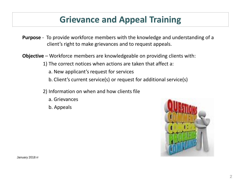# **Grievance and Appeal Training**

- **Purpose** To provide workforce members with the knowledge and understanding of a client's right to make grievances and to request appeals.
- **Objective** Workforce members are knowledgeable on providing clients with:
	- 1) The correct notices when actions are taken that affect a:
		- a. New applicant's request for services
		- b. Client's current service(s) or request for additional service(s)
	- 2) Information on when and how clients file
		- a. Grievances
		- b. Appeals



January 2018 rr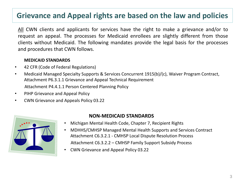### **Grievance and Appeal rights are based on the law and policies**

All CWN clients and applicants for services have the right to make a grievance and/or to request an appeal. The processes for Medicaid enrollees are slightly different from those clients without Medicaid. The following mandates provide the legal basis for the processes and procedures that CWN follows.

#### **MEDICAID STANDARDS**

- 42 CFR (Code of Federal Regulations)
- Medicaid Managed Specialty Supports & Services Concurrent 1915(b)/(c), Waiver Program Contract, Attachment P6.3.1.1 Grievance and Appeal Technical Requirement Attachment P4.4.1.1 Person Centered Planning Policy
- PIHP Grievance and Appeal Policy
- CWN Grievance and Appeals Policy 03.22



#### **NON-MEDICAID STANDARDS**

- Michigan Mental Health Code, Chapter 7, Recipient Rights
- MDHHS/CMHSP Managed Mental Health Supports and Services Contract Attachment C6.3.2.1 - CMHSP Local Dispute Resolution Process Attachment C6.3.2.2 – CMHSP Family Support Subsidy Process
- CWN Grievance and Appeal Policy 03.22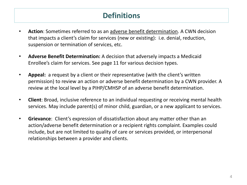# **Definitions**

- **Action**: Sometimes referred to as an adverse benefit determination. A CWN decision that impacts a client's claim for services (new or existing): i.e. denial, reduction, suspension or termination of services, etc.
- **Adverse Benefit Determination:** A decision that adversely impacts a Medicaid Enrollee's claim for services. See page 11 for various decision types.
- **Appeal:** a request by a client or their representative (with the client's written permission) to review an action or adverse benefit determination by a CWN provider. A review at the local level by a PIHP/CMHSP of an adverse benefit determination.
- **Client**: Broad, inclusive reference to an individual requesting or receiving mental health services. May include parent(s) of minor child, guardian, or a new applicant to services.
- **Grievance**: Client's expression of dissatisfaction about any matter other than an action/adverse benefit determination or a recipient rights complaint. Examples could include, but are not limited to quality of care or services provided, or interpersonal relationships between a provider and clients.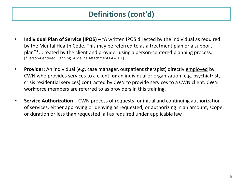# **Definitions (cont'd)**

- **Individual Plan of Service (IPOS)** "A written IPOS directed by the individual as required by the Mental Health Code. This may be referred to as a treatment plan or a support plan"\*. Created by the client and provider using a person-centered planning process. [\*Person-Centered Planning Guideline Attachment P4.4.1.1]
- **Provider:** An individual (e.g. case manager, outpatient therapist) directly employed by CWN who provides services to a client; **or** an individual or organization (e.g. psychiatrist, crisis residential services) contracted by CWN to provide services to a CWN client. CWN workforce members are referred to as providers in this training.
- **Service Authorization**  CWN process of requests for initial and continuing authorization of services, either approving or denying as requested, or authorizing in an amount, scope, or duration or less than requested, all as required under applicable law.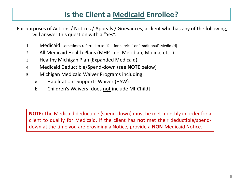### **Is the Client a Medicaid Enrollee?**

For purposes of Actions / Notices / Appeals / Grievances, a client who has any of the following, will answer this question with a "Yes".

- 1. Medicaid (sometimes referred to as "fee-for-service" or "traditional" Medicaid)
- 2. All Medicaid Health Plans (MHP i.e. Meridian, Molina, etc. )
- 3. Healthy Michigan Plan (Expanded Medicaid)
- 4. Medicaid Deductible/Spend-down (see **NOTE** below)
- 5. Michigan Medicaid Waiver Programs including:
	- a. Habilitations Supports Waiver (HSW)
	- b. Children's Waivers [does not include MI-Child]

**NOTE:** The Medicaid deductible (spend-down) must be met monthly in order for a client to qualify for Medicaid. If the client has **not** met their deductible/spenddown at the time you are providing a Notice, provide a **NON**-Medicaid Notice.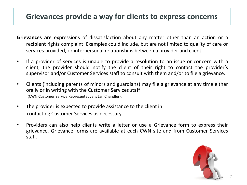#### **Grievances provide a way for clients to express concerns**

- **Grievances are** expressions of dissatisfaction about any matter other than an action or a recipient rights complaint. Examples could include, but are not limited to quality of care or services provided, or interpersonal relationships between a provider and client.
- If a provider of services is unable to provide a resolution to an issue or concern with a client, the provider should notify the client of their right to contact the provider's supervisor and/or Customer Services staff to consult with them and/or to file a grievance.
- Clients (including parents of minors and guardians) may file a grievance at any time either orally or in writing with the Customer Services staff (CWN Customer Service Representative is Jan Chandler).
- The provider is expected to provide assistance to the client in contacting Customer Services as necessary.
- Providers can also help clients write a letter or use a Grievance form to express their grievance. Grievance forms are available at each CWN site and from Customer Services staff.

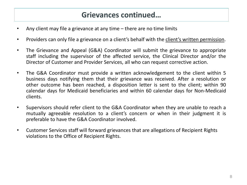#### **Grievances continued…**

- Any client may file a grievance at any time there are no time limits
- Providers can only file a grievance on a client's behalf with the client's written permission.
- The Grievance and Appeal (G&A) Coordinator will submit the grievance to appropriate staff including the supervisor of the affected service, the Clinical Director and/or the Director of Customer and Provider Services, all who can request corrective action.
- The G&A Coordinator must provide a written acknowledgement to the client within 5 business days notifying them that their grievance was received. After a resolution or other outcome has been reached, a disposition letter is sent to the client; within 90 calendar days for Medicaid beneficiaries and within 60 calendar days for Non-Medicaid clients.
- Supervisors should refer client to the G&A Coordinator when they are unable to reach a mutually agreeable resolution to a client's concern or when in their judgment it is preferable to have the G&A Coordinator involved.
- Customer Services staff will forward grievances that are allegations of Recipient Rights violations to the Office of Recipient Rights.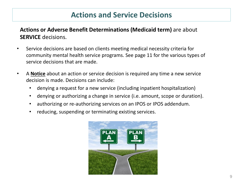### **Actions and Service Decisions**

**Actions or Adverse Benefit Determinations (Medicaid term)** are about **SERVICE** decisions.

- Service decisions are based on clients meeting medical necessity criteria for community mental health service programs. See page 11 for the various types of service decisions that are made.
- A **Notice** about an action or service decision is required any time a new service decision is made. Decisions can include:
	- denying a request for a new service (including inpatient hospitalization)
	- denying or authorizing a change in service (i.e. amount, scope or duration).
	- authorizing or re-authorizing services on an IPOS or IPOS addendum.
	- reducing, suspending or terminating existing services.

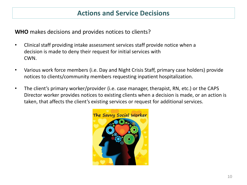**WHO** makes decisions and provides notices to clients?

- Clinical staff providing intake assessment services staff provide notice when a decision is made to deny their request for initial services with CWN.
- Various work force members (i.e. Day and Night Crisis Staff, primary case holders) provide notices to clients/community members requesting inpatient hospitalization.
- The client's primary worker/provider (i.e. case manager, therapist, RN, etc.) or the CAPS Director worker provides notices to existing clients when a decision is made, or an action is taken, that affects the client's existing services or request for additional services.

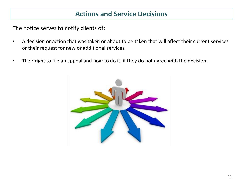#### **Actions and Service Decisions**

The notice serves to notify clients of:

- A decision or action that was taken or about to be taken that will affect their current services or their request for new or additional services.
- Their right to file an appeal and how to do it, if they do not agree with the decision.

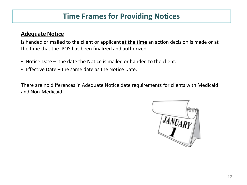## **Time Frames for Providing Notices**

#### **Adequate Notice**

is handed or mailed to the client or applicant **at the time** an action decision is made or at the time that the IPOS has been finalized and authorized.

- Notice Date the date the Notice is mailed or handed to the client.
- Effective Date the same date as the Notice Date.

There are no differences in Adequate Notice date requirements for clients with Medicaid and Non-Medicaid

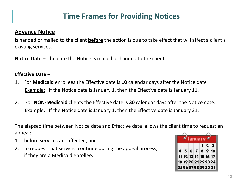# **Time Frames for Providing Notices**

#### **Advance Notice**

is handed or mailed to the client **before** the action is due to take effect that will affect a client's existing services.

**Notice Date** – the date the Notice is mailed or handed to the client.

#### **Effective Date** –

- 1. For **Medicaid** enrollees the Effective date is **10** calendar days after the Notice date Example: If the Notice date is January 1, then the Effective date is January 11.
- 2. For **NON-Medicaid** clients the Effective date is **30** calendar days after the Notice date. Example: If the Notice date is January 1, then the Effective date is January 31.

The elapsed time between Notice date and Effective date allows the client time to request an appeal:

- 1. before services are affected, and
- 2. to request that services continue during the appeal process, if they are a Medicaid enrollee.

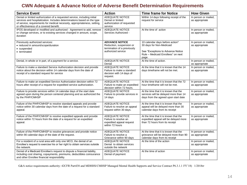#### **CWN Adequate & Advance Notice of Adverse Benefit Determination Requirements**

| <b>Service Event</b>                                                                                                                                                                                                                                                        | <b>Action</b>                                                                                          | <b>Time frame for Notice</b>                                                                                                                    | <b>How Given</b>                       |
|-----------------------------------------------------------------------------------------------------------------------------------------------------------------------------------------------------------------------------------------------------------------------------|--------------------------------------------------------------------------------------------------------|-------------------------------------------------------------------------------------------------------------------------------------------------|----------------------------------------|
| Denial or limited authorization of a requested service, including initial<br>services and hospitalization. Includes determinations based on the type<br>of service, requirements for medical necessity, appropriateness, setting,<br>or effectiveness of a covered benefit. | <b>ADEQUATE NOTICE</b><br>Denial or limited<br>authorization of requested<br>service                   | Within 14 days following receipt of the<br>request for service                                                                                  | In person or mailed,<br>as appropriate |
| IPOS developed or modified and authorized - Agreement to add, remove<br>or change services, or to existing services changed in amount, scope,<br>duration                                                                                                                   | <b>ADEQUATE NOTICE</b><br>Services Authorized -                                                        | At the time of action                                                                                                                           | In person or mailed,<br>as appropriate |
| Previously authorized services:<br>• reduced in amount/scope/duration<br>• suspended<br>• terminated                                                                                                                                                                        | <b>ADVANCE NOTICE</b><br>Reduction, suspension or<br>termination of a previously<br>authorized service | 10 calendar days before action*<br>30 days for Non-Medicaid<br>See "Exceptions to Advance Notice<br>Rule - Medicaid Enrollees" on next<br>page. | In person or mailed,<br>as appropriate |
| Denial, in whole or in part, of a payment for a service.                                                                                                                                                                                                                    | <b>ADEQUATE NOTICE</b><br>Denial                                                                       | At the time of action.                                                                                                                          | In person or mailed,<br>as appropriate |
| Failure to make a standard Service Authorization decision and provide<br>notice about the decision within 14 calendar days from the date of<br>receipt of a standard request for service                                                                                    | <b>ADEQUATE NOTICE</b><br>Failure to make a standard<br>decision with 14 days of<br>request.           | At the time that it is known that the 14<br>days timeframe will not be met.                                                                     | In person or mailed,<br>as appropriate |
| Failure to make an expedited Service Authorization decision within 72<br>hours after receipt of a request for expedited service authorization.                                                                                                                              | <b>ADEQUATE NOTICE</b><br>Failure to make an expedited<br>decision within 72 hours.                    | At the time that it is known that the 72<br>hour timeframe will not be met.                                                                     | In person or mailed,<br>as appropriate |
| Failure to provide services within 14 calendar days of the start date<br>agreed upon during the person centered planning and as authorized the<br>by the PIHP/CMHSP                                                                                                         | <b>ADEQUATE NOTICE</b><br>Failure to provide services in<br>14 days                                    | At the time that it is known that the<br>services will be delayed more than 14<br>days from the agreed upon start date                          | In person or mailed,<br>as appropriate |
| Failure of the PIHP/CMHSP to resolve standard appeals and provide<br>notice within 30 calendar days from the date of a request for a standard<br>appeal.                                                                                                                    | <b>ADEQUATE NOTICE</b><br>Failure to resolve an appeal<br>request within 30 days.                      | At the time that it is known that the<br>appeal will be delayed more than 30<br>calendar days from its receipt                                  | In person or mailed,<br>as appropriate |
| Failure of the PIHP/CMHSP to resolve expedited appeals and provide<br>notice within 72 hours from the date of a request for an expedited<br>appeal.                                                                                                                         | <b>ADEQUATE NOTICE</b><br>Failure to resolve an<br>expedited appeal request<br>within 72 hours         | At the time that it is known that the<br>expedited appeal will be delayed more<br>than 72 hours from its receipt                                | In person or mailed,<br>as appropriate |
| Failure of the PIHP/CMHSP to resolve grievances and provide notice<br>within 90 calendar days of the date of the request.                                                                                                                                                   | <b>ADEQUATE NOTICE</b><br>Failure to resolve a<br>Grievance within 90 days                             | At the time that it is known that the<br>grievance will be delayed more than 90<br>calendar days from its receipt                               | In person or mailed,<br>as appropriate |
| For a resident of a rural area with only one MCO, the denial of an<br>Enrollee's request to exercise his or her right to obtain services outside<br>the network.                                                                                                            | ADEQUATE NOTICE<br>Denial to obtain services<br>outside the network                                    | At the time of the action                                                                                                                       | In person or mailed,<br>as appropriate |
| Denial of a Medicaid Enrollee's request to dispute a financial liability,<br>including cost sharing, copayments, premiums, deductibles coinsurance<br>and other Enrollee financial responsibility.                                                                          | <b>ADEQUATE NOTICE</b><br>Denial of payment                                                            | At the time of action                                                                                                                           | In person or mailed,<br>as appropriate |

G&A notice requirements authority: 42CFR Part438 and MDHHS/CMHSP Managed Mental Health Supports and Service Contract P6.3.1.1 FY'18) 1/2018rr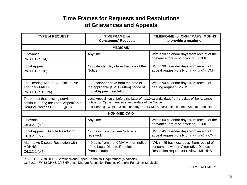#### **Time Frames for Requests and Resolutions of Grievances and Appeals**

| <b>TYPE of REQUEST</b>                                                                                        | <b>TIMEFRAME</b> for<br><b>Consumers' Requests</b>                                                                                                                                                                                                 | TIMEFRAME for CMH / MAHS/ MDHHS<br>to provide a resolution                                                                   |  |
|---------------------------------------------------------------------------------------------------------------|----------------------------------------------------------------------------------------------------------------------------------------------------------------------------------------------------------------------------------------------------|------------------------------------------------------------------------------------------------------------------------------|--|
| <b>MEDICAID</b>                                                                                               |                                                                                                                                                                                                                                                    |                                                                                                                              |  |
| Grievance<br>P6.3.1.1 (p. 14)                                                                                 | Any time                                                                                                                                                                                                                                           | Within 90 calendar days from receipt of the<br>grievance (orally or in writing) - CMH                                        |  |
| Local Appeal<br>P6.3.1.1 (p. 10)                                                                              | "60 calendar days from the date of the<br>Notice"                                                                                                                                                                                                  | Within 30 calendar days from receipt of<br>appeal request (orally or in writing) - CMH                                       |  |
| Fair Hearing with the Administrative<br><b>Tribunal - MAHS</b><br>P6.3.1.1 (p.15, 26)                         | "120 calendar days from the date of<br>the applicable [CMH written] notice of<br>[Local Appeal] resolution."                                                                                                                                       | Within 90 calendar days from receipt of<br>hearing request - MAHS                                                            |  |
| To request that existing services<br>continue during the Local Appeal/Fair<br>Hearing Process P6.3.1.1 (p. 9) | Local Appeal - on or before the latter of: 1)10 calendar days from the date of the Advance<br>notice, or 2) the intended effective date of the Notice.<br>Fair Hearing - Within 10 calendar days after CMH sends Notice of Local Appeal Resolution |                                                                                                                              |  |
| <b>NON-MEDICAID</b>                                                                                           |                                                                                                                                                                                                                                                    |                                                                                                                              |  |
| Grievance<br>$C6.3.2.1$ (p.2)                                                                                 | Any time                                                                                                                                                                                                                                           | Within 60 calendar days from receipt of the<br>grievance (orally or in writing) - CMH                                        |  |
| Local Appeal / Dispute Resolution<br>C6.3.2.1(p.2)                                                            | "30 days from the time Notice is<br>received."                                                                                                                                                                                                     | Within 45 calendar days from receipt of<br>appeal request (orally or in writing) - CMH                                       |  |
| Alternative Dispute Resolution with<br><b>MDHHS</b><br>$C6.3.2.1$ (p.5)                                       | "10 days from the [CMH] written notice<br>of the Local Dispute Resolution<br>Process outcome."                                                                                                                                                     | "Within 15 business days" from receipt of<br>consumer's written Alternative Dispute<br>Resolution request for review - MDHHS |  |

P6.3.1.1 – FY'18 DHHS Grievance and Appeal Technical Requirement (Medicaid)

C6.3.2.1 – FY'18 DHHS CMSHP Local Dispute Resolution Process (General Fund/Non-Medicaid)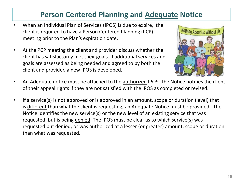### **Person Centered Planning and Adequate Notice**

- When an Individual Plan of Services (IPOS) is due to expire, the client is required to have a Person Centered Planning (PCP) meeting prior to the Plan's expiration date.
- At the PCP meeting the client and provider discuss whether the client has satisfactorily met their goals. If additional services and goals are assessed as being needed and agreed to by both the client and provider, a new IPOS is developed.



- An Adequate notice must be attached to the authorized IPOS. The Notice notifies the client of their appeal rights if they are not satisfied with the IPOS as completed or revised.
- If a service(s) is not approved or is approved in an amount, scope or duration (level) that is different than what the client is requesting, an Adequate Notice must be provided. The Notice identifies the new service(s) or the new level of an existing service that was requested, but is being denied. The IPOS must be clear as to which service(s) was requested but denied; or was authorized at a lesser (or greater) amount, scope or duration than what was requested.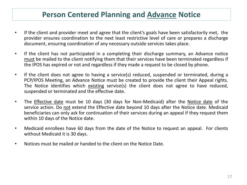#### **Person Centered Planning and Advance Notice**

- If the client and provider meet and agree that the client's goals have been satisfactorily met, the provider ensures coordination to the next least restrictive level of care or prepares a discharge document, ensuring coordination of any necessary outside services takes place.
- If the client has not participated in a completing their discharge summary, an Advance notice must be mailed to the client notifying them that their services have been terminated regardless if the IPOS has expired or not and regardless if they made a request to be closed by phone.
- If the client does not agree to having a service(s) reduced, suspended or terminated, during a PCP/IPOS Meeting, an Advance Notice must be created to provide the client their Appeal rights. The Notice identifies which existing service(s) the client does not agree to have reduced, suspended or terminated and the effective date.
- The Effective date must be 10 days (30 days for Non-Medicaid) after the Notice date of the service action. Do not extend the Effective date beyond 10 days after the Notice date. Medicaid beneficiaries can only ask for continuation of their services during an appeal if they request them within 10 days of the Notice date.
- Medicaid enrollees have 60 days from the date of the Notice to request an appeal. For clients without Medicaid it is 30 days.
- Notices must be mailed or handed to the client on the Notice Date.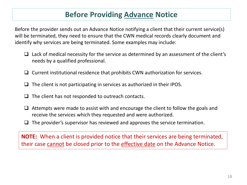### **Before Providing Advance Notice**

Before the provider sends out an Advance Notice notifying a client that their current service(s) will be terminated, they need to ensure that the CWN medical records clearly document and identify why services are being terminated. Some examples may include:

- $\Box$  Lack of medical necessity for the service as determined by an assessment of the client's needs by a qualified professional.
- ❑ Current institutional residence that prohibits CWN authorization for services.
- $\Box$  The client is not participating in services as authorized in their IPOS.
- ❑ The client has not responded to outreach contacts.
- ❑ Attempts were made to assist with and encourage the client to follow the goals and receive the services which they requested and were authorized.
- $\Box$  The provider's supervisor has reviewed and approves the service termination.

**NOTE:** When a client is provided notice that their services are being terminated, their case cannot be closed prior to the effective date on the Advance Notice.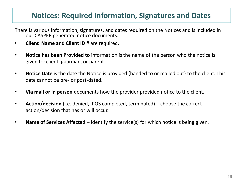### **Notices: Required Information, Signatures and Dates**

There is various information, signatures, and dates required on the Notices and is included in our CASPER generated notice documents:

- **Client Name and Client ID** # are required.
- **Notice has been Provided to** information is the name of the person who the notice is given to: client, guardian, or parent.
- **Notice Date** is the date the Notice is provided (handed to or mailed out) to the client. This date cannot be pre- or post-dated.
- **Via mail or in person** documents how the provider provided notice to the client.
- **Action/decision** (i.e. denied, IPOS completed, terminated) choose the correct action/decision that has or will occur.
- **Name of Services Affected –** Identify the service(s) for which notice is being given.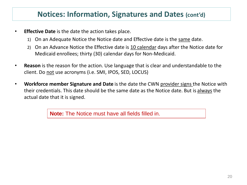#### **Notices: Information, Signatures and Dates (cont'd)**

- **Effective Date** is the date the action takes place.
	- 1) On an Adequate Notice the Notice date and Effective date is the same date.
	- 2) On an Advance Notice the Effective date is 10 calendar days after the Notice date for Medicaid enrollees; thirty (30) calendar days for Non-Medicaid.
- **Reason** is the reason for the action. Use language that is clear and understandable to the client. Do not use acronyms (i.e. SMI, IPOS, SED, LOCUS)
- **Workforce member Signature and Date** is the date the CWN provider signs the Notice with their credentials. This date should be the same date as the Notice date. But is always the actual date that it is signed.

**Note:** The Notice must have all fields filled in.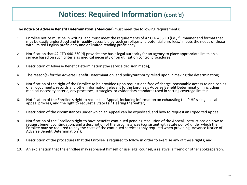#### **Notices: Required Information (cont'd)**

The **notice of Adverse Benefit Determination (Medicaid)** must meet the following requirements:

- 1. Enrollee notice must be in writing, and must meet the requirements of 42 CFR 438.10 (i.e., "…manner and format that may be easily understood and is readily accessible by such enrollees and potential enrollees," meets the needs of those with limited English proficiency and or limited reading proficiency);
- 2. Notification that 42 CFR 440.230(d) provides the basic legal authority for an agency to place appropriate limits on a service based on such criteria as medical necessity or on utilization control procedures;
- 3. Description of Adverse Benefit Determination [the service decision made];
- 4. The reason(s) for the Adverse Benefit Determination, and policy/authority relied upon in making the determination;
- 5. Notification of the right of the Enrollee to be provided upon request and free of charge, reasonable access to and copies of all documents, records and other information relevant to the Enrollee's Adverse Benefit Determination (including medical necessity criteria, any processes, strategies, or evidentiary standards used in setting coverage limits);
- 6. Notification of the Enrollee's right to request an Appeal, including information on exhausting the PIHP's single local appeal process, and the right to request a State Fair Hearing thereafter;
- 7. Description of the circumstances under which an Appeal can be expedited, and how to request an Expedited Appeal;
- 8. Notification of the Enrollee's right to have benefits continued pending resolution of the Appeal, instructions on how to request benefit continuation, and a description of the circumstances (consistent with State policy) under which the Enrollee may be required to pay the costs of the continued services (only required when providing "Advance Notice of Adverse Benefit Determination");
- 9. Description of the procedures that the Enrollee is required to follow in order to exercise any of these rights; and
- 10. An explanation that the enrollee may represent himself or use legal counsel, a relative, a friend or other spokesperson.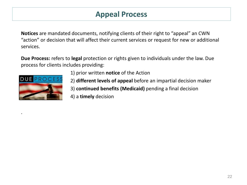### **Appeal Process**

**Notices** are mandated documents, notifying clients of their right to "appeal" an CWN "action" or decision that will affect their current services or request for new or additional services.

**Due Process:** refers to **legal** protection or rights given to individuals under the law. Due process for clients includes providing:



.

- 1) prior written **notice** of the Action
- 2) **different levels of appeal** before an impartial decision maker
- 3) **continued benefits (Medicaid)** pending a final decision
- 4) a **timely** decision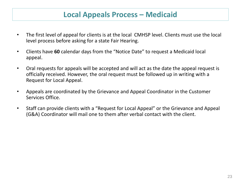#### **Local Appeals Process – Medicaid**

- The first level of appeal for clients is at the local CMHSP level. Clients must use the local level process before asking for a state Fair Hearing.
- Clients have **60** calendar days from the "Notice Date" to request a Medicaid local appeal.
- Oral requests for appeals will be accepted and will act as the date the appeal request is officially received. However, the oral request must be followed up in writing with a Request for Local Appeal.
- Appeals are coordinated by the Grievance and Appeal Coordinator in the Customer Services Office.
- Staff can provide clients with a "Request for Local Appeal" or the Grievance and Appeal (G&A) Coordinator will mail one to them after verbal contact with the client.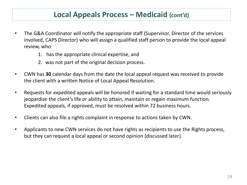#### **Local Appeals Process – Medicaid (cont'd)**

- The G&A Coordinator will notify the appropriate staff (Supervisor, Director of the services involved, CAPS Director) who will assign a qualified staff person to provide the local appeal review, who
	- 1. has the appropriate clinical expertise, and
	- 2. was not part of the original decision process.
- CWN has **30** calendar days from the date the local appeal request was received to provide the client with a written Notice of Local Appeal Resolution.
- Requests for expedited appeals will be honored if waiting for a standard time would seriously jeopardize the client's life or ability to attain, maintain or regain maximum function. Expedited appeals, if approved, must be resolved within 72 business hours.
- Clients can also file a rights complaint in response to actions taken by CWN.
- Applicants to new CWN services do not have rights as recipients to use the Rights process, but they can request a local appeal or second opinion (discussed later).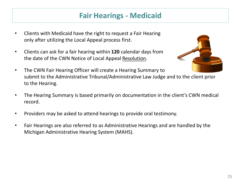### **Fair Hearings - Medicaid**

- Clients with Medicaid have the right to request a Fair Hearing only after utilizing the Local Appeal process first.
- Clients can ask for a fair hearing within **120** calendar days from the date of the CWN Notice of Local Appeal Resolution.



- The CWN Fair Hearing Officer will create a Hearing Summary to submit to the Administrative Tribunal/Administrative Law Judge and to the client prior to the Hearing.
- The Hearing Summary is based primarily on documentation in the client's CWN medical record.
- Providers may be asked to attend hearings to provide oral testimony.
- Fair Hearings are also referred to as Administrative Hearings and are handled by the Michigan Administrative Hearing System (MAHS).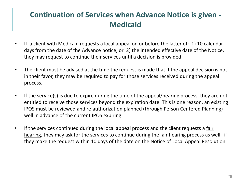# **Continuation of Services when Advance Notice is given - Medicaid**

- If a client with Medicaid requests a local appeal on or before the latter of: 1) 10 calendar days from the date of the Advance notice, or 2) the intended effective date of the Notice, they may request to continue their services until a decision is provided.
- The client must be advised at the time the request is made that if the appeal decision is not in their favor, they may be required to pay for those services received during the appeal process.
- If the service(s) is due to expire during the time of the appeal/hearing process, they are not entitled to receive those services beyond the expiration date. This is one reason, an existing IPOS must be reviewed and re-authorization planned (through Person Centered Planning) well in advance of the current IPOS expiring.
- If the services continued during the local appeal process and the client requests a fair hearing, they may ask for the services to continue during the fair hearing process as well, if they make the request within 10 days of the date on the Notice of Local Appeal Resolution.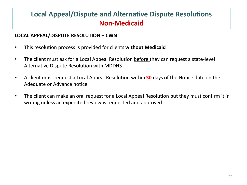### **Local Appeal/Dispute and Alternative Dispute Resolutions Non-Medicaid**

#### **LOCAL APPEAL/DISPUTE RESOLUTION – CWN**

- This resolution process is provided for clients **without Medicaid**
- The client must ask for a Local Appeal Resolution before they can request a state-level Alternative Dispute Resolution with MDDHS
- A client must request a Local Appeal Resolution within **30** days of the Notice date on the Adequate or Advance notice.
- The client can make an oral request for a Local Appeal Resolution but they must confirm it in writing unless an expedited review is requested and approved.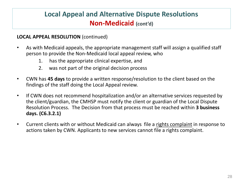### **Local Appeal and Alternative Dispute Resolutions Non-Medicaid (cont'd)**

#### **LOCAL APPEAL RESOLUTION** (continued)

- As with Medicaid appeals, the appropriate management staff will assign a qualified staff person to provide the Non-Medicaid local appeal review, who
	- 1. has the appropriate clinical expertise, and
	- 2. was not part of the original decision process
- CWN has **45 days** to provide a written response/resolution to the client based on the findings of the staff doing the Local Appeal review.
- If CWN does not recommend hospitalization and/or an alternative services requested by the client/guardian, the CMHSP must notify the client or guardian of the Local Dispute Resolution Process. The Decision from that process must be reached within **3 business days. (C6.3.2.1)**
- Current clients with or without Medicaid can always file a rights complaint in response to actions taken by CWN. Applicants to new services cannot file a rights complaint.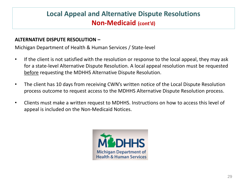### **Local Appeal and Alternative Dispute Resolutions Non-Medicaid (cont'd)**

#### **ALTERNATIVE DISPUTE RESOLUTION –**

Michigan Department of Health & Human Services / State-level

- If the client is not satisfied with the resolution or response to the local appeal, they may ask for a state-level Alternative Dispute Resolution. A local appeal resolution must be requested before requesting the MDHHS Alternative Dispute Resolution.
- The client has 10 days from receiving CWN's written notice of the Local Dispute Resolution process outcome to request access to the MDHHS Alternative Dispute Resolution process.
- Clients must make a written request to MDHHS. Instructions on how to access this level of appeal is included on the Non-Medicaid Notices.

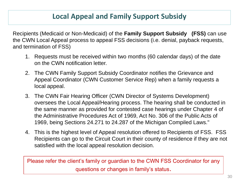#### **Local Appeal and Family Support Subsidy**

Recipients (Medicaid or Non-Medicaid) of the **Family Support Subsidy (FSS)** can use the CWN Local Appeal process to appeal FSS decisions (i.e. denial, payback requests, and termination of FSS)

- 1. Requests must be received within two months (60 calendar days) of the date on the CWN notification letter.
- 2. The CWN Family Support Subsidy Coordinator notifies the Grievance and Appeal Coordinator (CWN Customer Service Rep) when a family requests a local appeal.
- 3. The CWN Fair Hearing Officer (CWN Director of Systems Development) oversees the Local Appeal/Hearing process. The hearing shall be conducted in the same manner as provided for contested case hearings under Chapter 4 of the Administrative Procedures Act of 1969, Act No. 306 of the Public Acts of 1969, being Sections 24.271 to 24.287 of the Michigan Compiled Laws."
- 4. This is the highest level of Appeal resolution offered to Recipients of FSS. FSS Recipients can go to the Circuit Court in their county of residence if they are not satisfied with the local appeal resolution decision.

Please refer the client's family or guardian to the CWN FSS Coordinator for any questions or changes in family's status.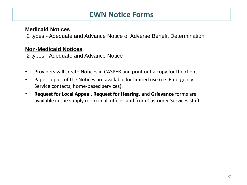#### **CWN Notice Forms**

#### **Medicaid Notices**

2 types - Adequate and Advance Notice of Adverse Benefit Determination

#### **Non-Medicaid Notices**

2 types - Adequate and Advance Notice

- Providers will create Notices in CASPER and print out a copy for the client.
- Paper copies of the Notices are available for limited use (i.e. Emergency Service contacts, home-based services).
- **Request for Local Appeal, Request for Hearing,** and **Grievance** forms are available in the supply room in all offices and from Customer Services staff.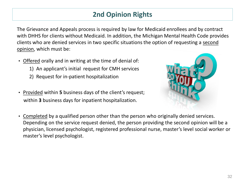### **2nd Opinion Rights**

The Grievance and Appeals process is required by law for Medicaid enrollees and by contract with DHHS for clients without Medicaid. In addition, the Michigan Mental Health Code provides clients who are denied services in two specific situations the option of requesting a second opinion, which must be:

- Offered orally and in writing at the time of denial of:
	- 1) An applicant's initial request for CMH services
	- 2) Request for in-patient hospitalization
- Provided within **5** business days of the client's request; within **3** business days for inpatient hospitalization.



• Completed by a qualified person other than the person who originally denied services. Depending on the service request denied, the person providing the second opinion will be a physician, licensed psychologist, registered professional nurse, master's level social worker or master's level psychologist.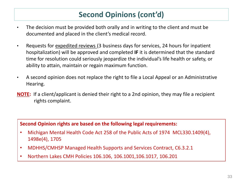# **Second Opinions (cont'd)**

- The decision must be provided both orally and in writing to the client and must be documented and placed in the client's medical record.
- Requests for expedited reviews (3 business days for services, 24 hours for inpatient hospitalization) will be approved and completed **IF** it is determined that the standard time for resolution could seriously jeopardize the individual's life health or safety, or ability to attain, maintain or regain maximum function.
- A second opinion does not replace the right to file a Local Appeal or an Administrative Hearing.
- **NOTE:** If a client/applicant is denied their right to a 2nd opinion, they may file a recipient rights complaint.

**Second Opinion rights are based on the following legal requirements:**

- Michigan Mental Health Code Act 258 of the Public Acts of 1974 MCL330.1409(4), 1498e(4), 1705
- MDHHS/CMHSP Managed Health Supports and Services Contract, C6.3.2.1
- Northern Lakes CMH Policies 106.106, 106.1001,106.1017, 106.201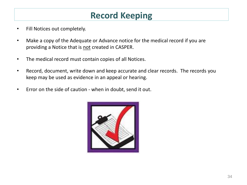# **Record Keeping**

- Fill Notices out completely.
- Make a copy of the Adequate or Advance notice for the medical record if you are providing a Notice that is not created in CASPER.
- The medical record must contain copies of all Notices.
- Record, document, write down and keep accurate and clear records. The records you keep may be used as evidence in an appeal or hearing.
- Error on the side of caution when in doubt, send it out.